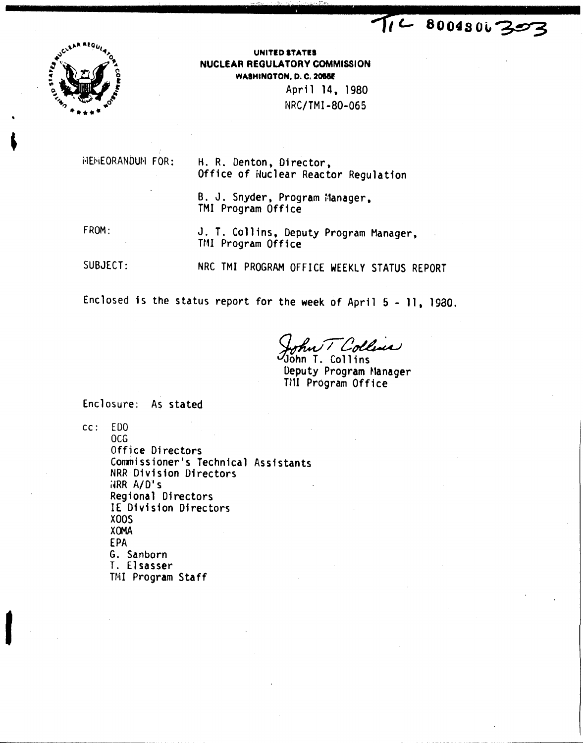

UNITED STATES NUCLEAR REGULATORY COMMISSION **WASHINGTON, D. C. 20556** April 14, 1980 NRC/TMI-80-065

**MEMEORANDUM FOR:** 

H. R. Denton, Director, Office of Nuclear Reactor Regulation

B. J. Snyder, Program Manager, TMI Program Office

FROM:

J. T. Collins, Deputy Program Manager, TMI Program Office

SUBJECT:

NRC TMI PROGRAM OFFICE WEEKLY STATUS REPORT

Enclosed is the status report for the week of April 5 - 11, 1980.

il Collens

nn T. Collins Deputy Program Manager TMI Program Office

TIL 8004806303

Enclosure: As stated

 $cc: EDO$ OCG

Office Directors Commissioner's Technical Assistants NRR Division Directors  $\overline{MR}$   $A/D's$ Regional Directors IE Division Directors **X00S XOMA** EPA G. Sanborn T. Elsasser TMI Program Staff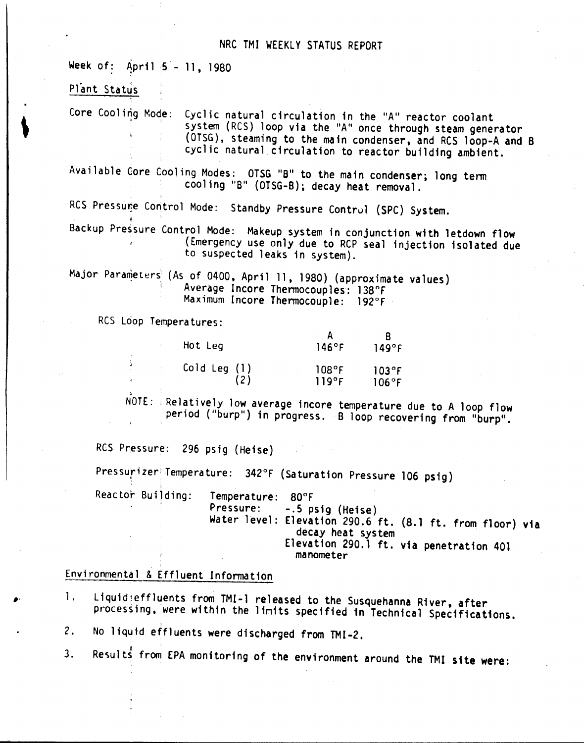## NRC TMI WEEKLY STATUS REPORT

Week of: April 5 - 11, 1980

Plant Status

Core Cooling Mode: Cyclic natural circulation in the "A" reactor coolant system (RCS) loop via the "A" once through steam generator (OTSG), steaming to the main condenser, and RCS loop-A and B cyclic natural circulation to reactor building ambient.

Available Core Cooling Modes: OTSG "B" to the main condenser; long term cool ing "B" (OTSG-B). decay heat removal.

RCS Pressune Control Mode: Standby Pressure Control (SPC) System.

Backup Pressure Control Mode: Makeup system in conjunction with letdown flow (Emergency use only due to RCP seal injection isolated due to suspected leaks in system).

Major Parameters<sup>!</sup> (As of 0400, April 11, 1980) (approximate values) Average Incore Thermocouples: 138°F Maximum Incore Thermocouple: 192°F

Res Loop Temperatures:

| Hot Leg      | 146°F | 149°F          |
|--------------|-------|----------------|
| Cold Leg (1) | 108°F | $103^{\circ}F$ |
| (2)          | 119°F | 106°F          |

NOTE: Relatively low average incore temperature due to A loop flow period ("burp") in progress. B loop recovering from "burp".

RCS Pressure: 296 psig (Heise)

Pressurizer<sup>|</sup>Temperature: 342°F (Saturation Pressure 106 psig)

Reactor Building: Pressure: Water level: Elevation 290.6 ft. (8.1 ft. from floor) via Temperature: 80°F -.5 psig (Heise) decay heat system Elevation 290.1 ft. via penetration 401 manometer

Environmental & Effluent Information

1. Liquid:effluents from TMI-1 released to the Susquehanna River, after processing, were within the limits specified in Technical Specifications.

2. 'I No liquid effluents were discharged from TMI-2.

3. Results from EPA monitoring of the environment around the TMI site were: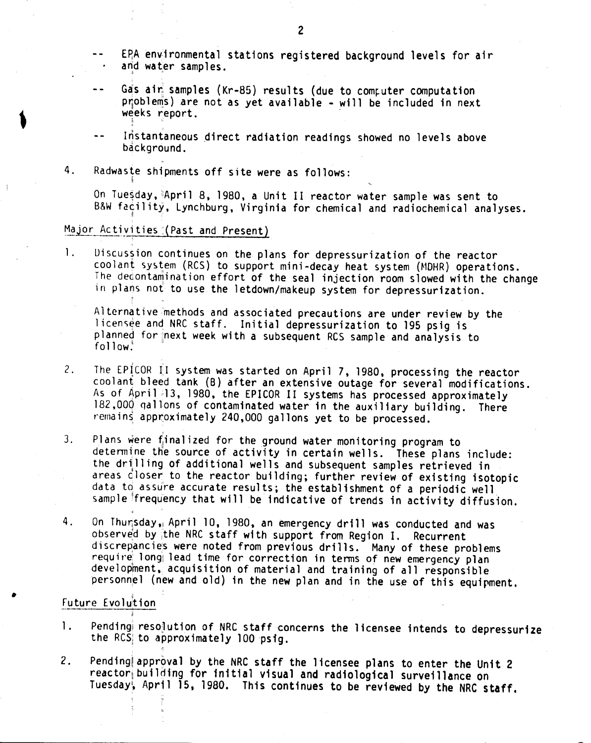- EPA environmental stations registered background levels for air and water samples.
- Gas ain samples (Kr-85) results (due to computer computation problems) are not as yet available - will be included in next weeks report.
- Instantaneous direct radiation readings showed no levels above background.
- 4. Radwaste shipments off site were as follows:

On Tuesday, April 8, 1980, a Unit II reactor water sample was sent to B&W facility, Lynchburg, Virginia for chemical and radiochemical analyses.

## Major Activities (Past and Present)

i;

I. Uiscussion continues on the plans for depressurization of the reactor coolant system (RCS) to support mini-decay heat system (MDHR) operations. The decontamination effort of the seal injection room slowed with the change in plans not to use the letdown/makeup system for depressurization.

Alternative methods and associated precautions are under review by the licensee and NRC staff. Initial depressurization to 195 psig is planned for next week with a subsequent RCS sample and analysis to  $f$ ollow $\cdot$ <sup>i</sup>

- 2. The EPICOR II system was started on April 7, 1980, processing the reactor coolant bleed tank (B) after an extensive outage for several modifications. As of April 13, 1980, the EPICOR II systems has processed approximately 182,000 qallons of contaminated water in the auxiliary building. There remains approximately 240,000 gallons yet to be processed.
- 3. Plans were finalized for the ground water monitoring program to determine the source of activity in certain wells. These plans include: the drilling of additional wells and subsequent samples retrieved in areas closer to the reactor building; further review of existing isotopic data to assure accurate results; the establishment of a periodic well sample frequency that will be indicative of trends in activity diffusion.
- 4. On Thursday, April 10, 1980, an emergency drill was conducted and was observed by the NRC staff with support from Region I. Recurrent discrepancies were noted from previous drills. Many of these problems require long lead time for correction in terms of new emergency plan development. acquisition of material and training of all responsible personnel (new and old) in the new plan and in the use of this equipment.

### Future Evolution

- 1. Pending resolution of NRC staff concerns the licensee intends to depressurize the RCS to approximately 100 psig.
- 2. Pending approval by the NRC staff the licensee plans to enter the Unit 2 reactor building for initial visual and radiological surveillance on Tuesday, April 15, 1980. This continues to be reviewed by the NRC staff.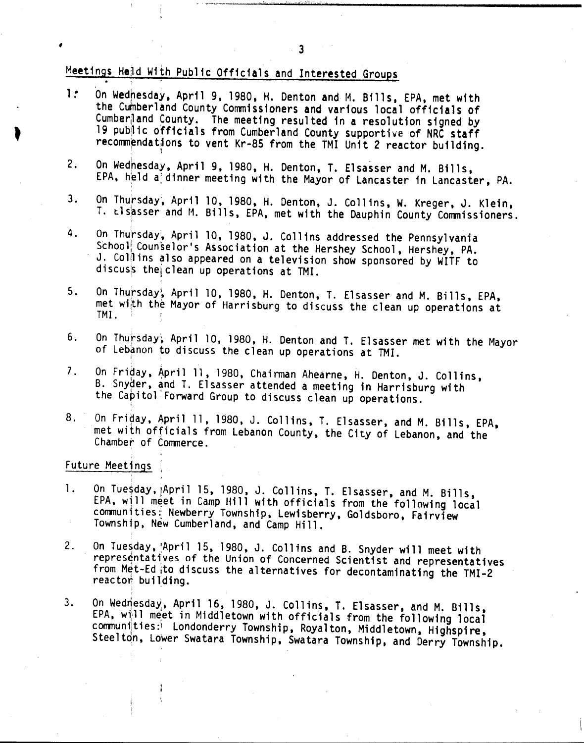# Meetings Held With Public Officials and Interested Groups .

- 1: On Wedhesday, April 9, 1980, H. Denton and M. Bills, EPA, met with the Cumberland County Commissioners and various local officials of Cumber<sub>l</sub>land County. The meeting resulted in a resolution signed by 19 public officials from Cumberland County supportive of NRC staff recommendations to vent Kr-85 from the TMI Unit 2 reactor building.
- 2. On Wednesday, April 9, 1980, H. Denton, T. Elsasser and M. Bills, EPA, held a dinner meeting with the Mayor of Lancaster in Lancaster, PA.
- 3. On Thursday, April 10, 1980, H. Denton, J. Collins, W. Kreger, J. Klein, T. tlsasser and M. Bills, EPA, met with the Dauphin County Commissioners.
- 4. On Thursday, April 10, 1980, J. Collins addressed the Pennsylvania School! Counselor's Association at the Hershey School, Hershey, PA. J. Collins also appeared on a television show sponsored by WITF to discus's the clean up operations at TMI.
- 5. On Thursday, April 10, 1980, H. Denton, T. Elsasser and M. Bills, EPA, met with the Mayor of Harrisburg to discuss the clean up operations at TMI.
- 6. On Thursday, April 10, 1980, H. Denton and T. Elsasser met with the Mayor of Lebanon to discuss the clean up operations at TMI.
- 7. On Friday, April 11, 1980, Chairman Ahearne, H. Denton, J. Collins, B. Snyder, and T. Elsasser attended a meeting in Harrisburg with the Capitol Forward Group to discuss clean up operations.
- 8. On Friday, April 11, 1980, J. Collins, T. Elsasser, and M. Bills, EPA, met with officials from Lebanon County, the City of Lebanon, and the Chamber of Conmerce.

#### Future Meetings

;<br>,

,

- 1. On Tuesday, April 15, 1980, J. Collins, T. Elsasser, and M. Bills, EPA, will meet in Camp Hill with officials from the following local communities: Newberry Township, Lewisberry, Goldsboro, Fairview Township, New Cumberland, and Camp Hill.
- 2. On Tuesday, April 15, 1980, J. Collins and B. Snyder will meet with representatives of the Union of Concerned Scientist and representatives from Met-Ed to discuss the alternatives for decontaminating the TMI-2 reactor building.
- 3. On Wedriesday, April 16, 1980, J. Collins, T. Elsasser, and M. Bills, EPA, will meet in Middletown with officials from the following local communities: Londonderry Township, Royalton, Middletown, Highspire, Steelton, Lower Swatara Township, Swatara Township, and Derry Township.